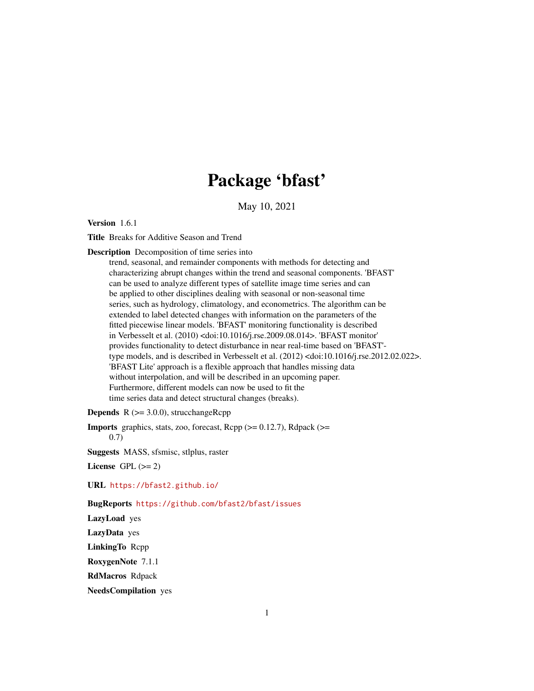# Package 'bfast'

May 10, 2021

<span id="page-0-0"></span>Version 1.6.1

Title Breaks for Additive Season and Trend

Description Decomposition of time series into

trend, seasonal, and remainder components with methods for detecting and characterizing abrupt changes within the trend and seasonal components. 'BFAST' can be used to analyze different types of satellite image time series and can be applied to other disciplines dealing with seasonal or non-seasonal time series, such as hydrology, climatology, and econometrics. The algorithm can be extended to label detected changes with information on the parameters of the fitted piecewise linear models. 'BFAST' monitoring functionality is described in Verbesselt et al. (2010) <doi:10.1016/j.rse.2009.08.014>. 'BFAST monitor' provides functionality to detect disturbance in near real-time based on 'BFAST' type models, and is described in Verbesselt et al. (2012) <doi:10.1016/j.rse.2012.02.022>. 'BFAST Lite' approach is a flexible approach that handles missing data without interpolation, and will be described in an upcoming paper. Furthermore, different models can now be used to fit the time series data and detect structural changes (breaks).

**Depends**  $R$  ( $>= 3.0.0$ ), strucchangeRcpp

**Imports** graphics, stats, zoo, forecast,  $\text{Rcpp} (> = 0.12.7)$ ,  $\text{Rdpack}$ 0.7)

Suggests MASS, sfsmisc, stlplus, raster

License GPL  $(>= 2)$ 

URL <https://bfast2.github.io/>

BugReports <https://github.com/bfast2/bfast/issues>

LazyLoad yes

LazyData yes

LinkingTo Rcpp

RoxygenNote 7.1.1

RdMacros Rdpack

NeedsCompilation yes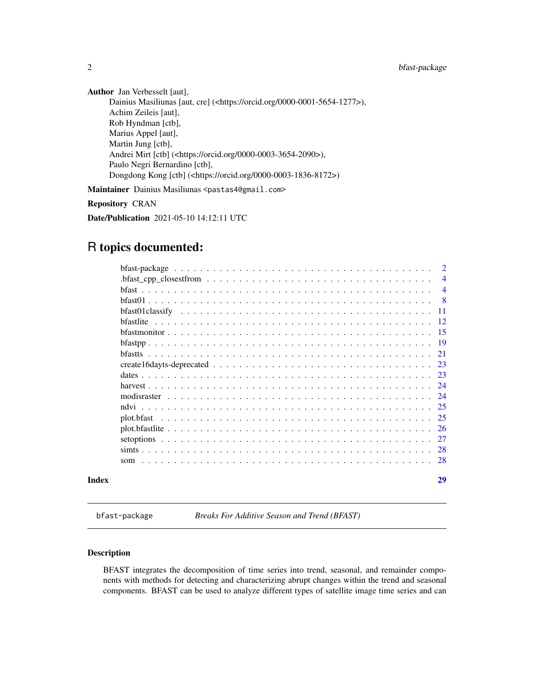Author Jan Verbesselt [aut], Dainius Masiliunas [aut, cre] (<https://orcid.org/0000-0001-5654-1277>), Achim Zeileis [aut], Rob Hyndman [ctb], Marius Appel [aut], Martin Jung [ctb], Andrei Mirt [ctb] (<https://orcid.org/0000-0003-3654-2090>), Paulo Negri Bernardino [ctb], Dongdong Kong [ctb] (<https://orcid.org/0000-0003-1836-8172>) Maintainer Dainius Masiliunas <pastas4@gmail.com>

Repository CRAN

Date/Publication 2021-05-10 14:12:11 UTC

## R topics documented:

|       |                                                                                                  | $\overline{2}$ |
|-------|--------------------------------------------------------------------------------------------------|----------------|
|       | $bfast\_cpp\_closest from \ldots \ldots \ldots \ldots \ldots \ldots \ldots \ldots \ldots \ldots$ | $\overline{4}$ |
|       |                                                                                                  | $\overline{4}$ |
|       |                                                                                                  | - 8            |
|       |                                                                                                  | -11            |
|       |                                                                                                  | -12            |
|       |                                                                                                  |                |
|       |                                                                                                  |                |
|       |                                                                                                  | 21             |
|       |                                                                                                  | -23            |
|       |                                                                                                  | -23            |
|       |                                                                                                  | -24            |
|       | modisraster                                                                                      | 24             |
|       | ndvi                                                                                             |                |
|       | plot.bfast                                                                                       | 25             |
|       |                                                                                                  | <sup>26</sup>  |
|       |                                                                                                  | 27             |
|       |                                                                                                  | 28             |
|       |                                                                                                  |                |
| Index |                                                                                                  | 29             |

bfast-package *Breaks For Additive Season and Trend (BFAST)*

#### Description

BFAST integrates the decomposition of time series into trend, seasonal, and remainder components with methods for detecting and characterizing abrupt changes within the trend and seasonal components. BFAST can be used to analyze different types of satellite image time series and can

<span id="page-1-0"></span>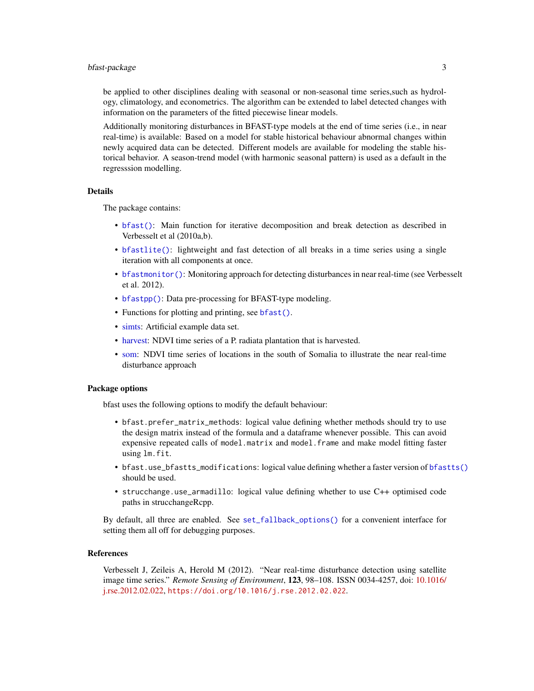#### <span id="page-2-0"></span>bfast-package 3

be applied to other disciplines dealing with seasonal or non-seasonal time series,such as hydrology, climatology, and econometrics. The algorithm can be extended to label detected changes with information on the parameters of the fitted piecewise linear models.

Additionally monitoring disturbances in BFAST-type models at the end of time series (i.e., in near real-time) is available: Based on a model for stable historical behaviour abnormal changes within newly acquired data can be detected. Different models are available for modeling the stable historical behavior. A season-trend model (with harmonic seasonal pattern) is used as a default in the regresssion modelling.

#### Details

The package contains:

- [bfast\(\)](#page-3-1): Main function for iterative decomposition and break detection as described in Verbesselt et al (2010a,b).
- [bfastlite\(\)](#page-11-1): lightweight and fast detection of all breaks in a time series using a single iteration with all components at once.
- [bfastmonitor\(\)](#page-14-1): Monitoring approach for detecting disturbances in near real-time (see Verbesselt et al. 2012).
- [bfastpp\(\)](#page-18-1): Data pre-processing for BFAST-type modeling.
- Functions for plotting and printing, see [bfast\(\)](#page-3-1).
- [simts:](#page-27-1) Artificial example data set.
- [harvest:](#page-23-1) NDVI time series of a P. radiata plantation that is harvested.
- [som:](#page-27-2) NDVI time series of locations in the south of Somalia to illustrate the near real-time disturbance approach

#### Package options

bfast uses the following options to modify the default behaviour:

- bfast.prefer\_matrix\_methods: logical value defining whether methods should try to use the design matrix instead of the formula and a dataframe whenever possible. This can avoid expensive repeated calls of model.matrix and model.frame and make model fitting faster using lm.fit.
- bfast.use\_bfastts\_modifications: logical value defining whether a faster version of [bfastts\(\)](#page-20-1) should be used.
- strucchange.use\_armadillo: logical value defining whether to use C++ optimised code paths in strucchangeRcpp.

By default, all three are enabled. See [set\\_fallback\\_options\(\)](#page-26-1) for a convenient interface for setting them all off for debugging purposes.

#### References

Verbesselt J, Zeileis A, Herold M (2012). "Near real-time disturbance detection using satellite image time series." *Remote Sensing of Environment*, 123, 98–108. ISSN 0034-4257, doi: [10.1016/](https://doi.org/10.1016/j.rse.2012.02.022) [j.rse.2012.02.022,](https://doi.org/10.1016/j.rse.2012.02.022) <https://doi.org/10.1016/j.rse.2012.02.022>.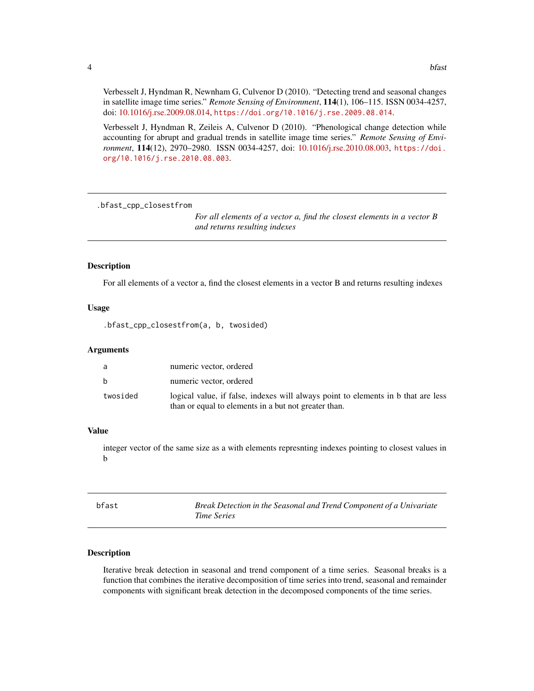<span id="page-3-0"></span>Verbesselt J, Hyndman R, Newnham G, Culvenor D (2010). "Detecting trend and seasonal changes in satellite image time series." *Remote Sensing of Environment*, 114(1), 106–115. ISSN 0034-4257, doi: [10.1016/j.rse.2009.08.014,](https://doi.org/10.1016/j.rse.2009.08.014) <https://doi.org/10.1016/j.rse.2009.08.014>.

Verbesselt J, Hyndman R, Zeileis A, Culvenor D (2010). "Phenological change detection while accounting for abrupt and gradual trends in satellite image time series." *Remote Sensing of Environment*, 114(12), 2970–2980. ISSN 0034-4257, doi: [10.1016/j.rse.2010.08.003,](https://doi.org/10.1016/j.rse.2010.08.003) [https://doi.](https://doi.org/10.1016/j.rse.2010.08.003) [org/10.1016/j.rse.2010.08.003](https://doi.org/10.1016/j.rse.2010.08.003).

.bfast\_cpp\_closestfrom

*For all elements of a vector a, find the closest elements in a vector B and returns resulting indexes*

#### Description

For all elements of a vector a, find the closest elements in a vector B and returns resulting indexes

#### Usage

.bfast\_cpp\_closestfrom(a, b, twosided)

#### Arguments

| a            | numeric vector, ordered                                                                                                                   |
|--------------|-------------------------------------------------------------------------------------------------------------------------------------------|
| <sub>b</sub> | numeric vector, ordered                                                                                                                   |
| twosided     | logical value, if false, indexes will always point to elements in b that are less<br>than or equal to elements in a but not greater than. |

#### Value

integer vector of the same size as a with elements represnting indexes pointing to closest values in b

<span id="page-3-1"></span>

| bfast | Break Detection in the Seasonal and Trend Component of a Univariate |
|-------|---------------------------------------------------------------------|
|       | <i>Time Series</i>                                                  |

#### Description

Iterative break detection in seasonal and trend component of a time series. Seasonal breaks is a function that combines the iterative decomposition of time series into trend, seasonal and remainder components with significant break detection in the decomposed components of the time series.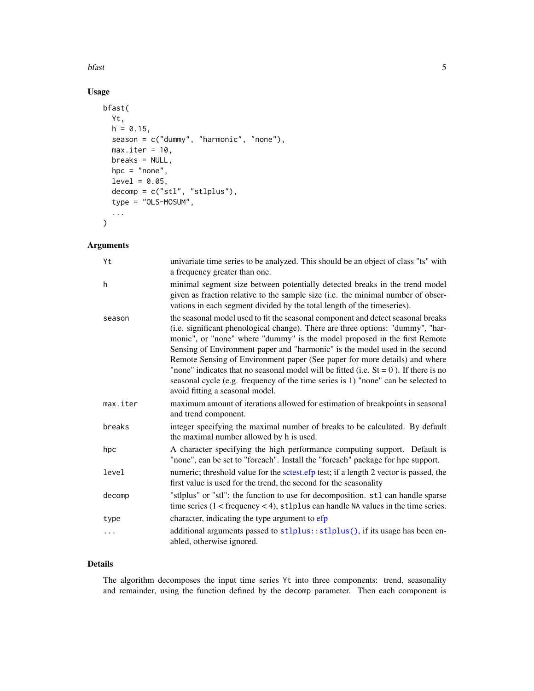<span id="page-4-0"></span>bfast 5

### Usage

```
bfast(
 Yt,
 h = 0.15,
 season = c("dummy", "harmonic", "none"),
 max.iter = 10,
 breaks = NULL,
 hpc = "none",
  level = 0.05,decomp = c("stl", "stlplus"),
  type = "OLS-MOSUM",
  ...
\mathcal{L}
```
### Arguments

| Yt       | univariate time series to be analyzed. This should be an object of class "ts" with<br>a frequency greater than one.                                                                                                                                                                                                                                                                                                                                                                                                                                                                                                              |
|----------|----------------------------------------------------------------------------------------------------------------------------------------------------------------------------------------------------------------------------------------------------------------------------------------------------------------------------------------------------------------------------------------------------------------------------------------------------------------------------------------------------------------------------------------------------------------------------------------------------------------------------------|
| h        | minimal segment size between potentially detected breaks in the trend model<br>given as fraction relative to the sample size (i.e. the minimal number of obser-<br>vations in each segment divided by the total length of the timeseries).                                                                                                                                                                                                                                                                                                                                                                                       |
| season   | the seasonal model used to fit the seasonal component and detect seasonal breaks<br>(i.e. significant phenological change). There are three options: "dummy", "har-<br>monic", or "none" where "dummy" is the model proposed in the first Remote<br>Sensing of Environment paper and "harmonic" is the model used in the second<br>Remote Sensing of Environment paper (See paper for more details) and where<br>"none" indicates that no seasonal model will be fitted (i.e. $St = 0$ ). If there is no<br>seasonal cycle (e.g. frequency of the time series is 1) "none" can be selected to<br>avoid fitting a seasonal model. |
| max.iter | maximum amount of iterations allowed for estimation of breakpoints in seasonal<br>and trend component.                                                                                                                                                                                                                                                                                                                                                                                                                                                                                                                           |
| breaks   | integer specifying the maximal number of breaks to be calculated. By default<br>the maximal number allowed by h is used.                                                                                                                                                                                                                                                                                                                                                                                                                                                                                                         |
| hpc      | A character specifying the high performance computing support. Default is<br>"none", can be set to "foreach". Install the "foreach" package for hpc support.                                                                                                                                                                                                                                                                                                                                                                                                                                                                     |
| level    | numeric; threshold value for the sctest.efp test; if a length 2 vector is passed, the<br>first value is used for the trend, the second for the seasonality                                                                                                                                                                                                                                                                                                                                                                                                                                                                       |
| decomp   | "stlplus" or "stl": the function to use for decomposition. stl can handle sparse<br>time series $(1 <$ frequency $<$ 4), stlplus can handle NA values in the time series.                                                                                                                                                                                                                                                                                                                                                                                                                                                        |
| type     | character, indicating the type argument to efp                                                                                                                                                                                                                                                                                                                                                                                                                                                                                                                                                                                   |
| .        | additional arguments passed to stlplus::stlplus(), if its usage has been en-<br>abled, otherwise ignored.                                                                                                                                                                                                                                                                                                                                                                                                                                                                                                                        |

#### Details

The algorithm decomposes the input time series Yt into three components: trend, seasonality and remainder, using the function defined by the decomp parameter. Then each component is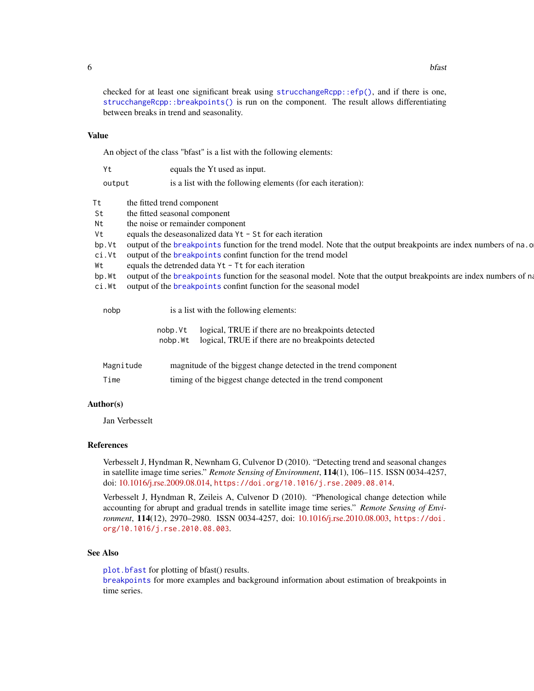<span id="page-5-0"></span>checked for at least one significant break using  $strucchangeRcpp$ :  $efp()$ , and if there is one, [strucchangeRcpp::breakpoints\(\)](#page-0-0) is run on the component. The result allows differentiating between breaks in trend and seasonality.

#### Value

An object of the class "bfast" is a list with the following elements:

| Yt        | equals the Yt used as input.                                                                                        |  |  |
|-----------|---------------------------------------------------------------------------------------------------------------------|--|--|
| output    | is a list with the following elements (for each iteration):                                                         |  |  |
| Τt        | the fitted trend component                                                                                          |  |  |
| St        | the fitted seasonal component                                                                                       |  |  |
| Nt        | the noise or remainder component                                                                                    |  |  |
| Vt        | equals the deseasonalized data Yt - St for each iteration                                                           |  |  |
| bp.Vt     | output of the breakpoints function for the trend model. Note that the output breakpoints are index numbers of na. o |  |  |
| ci.Vt     | output of the <b>breakpoints</b> confint function for the trend model                                               |  |  |
| Wt        | equals the detrended data Yt - Tt for each iteration                                                                |  |  |
| bp.Wt     | output of the breakpoints function for the seasonal model. Note that the output breakpoints are index numbers of na |  |  |
| ci.Wt     | output of the breakpoints confint function for the seasonal model                                                   |  |  |
| nobp      | is a list with the following elements:                                                                              |  |  |
|           | logical, TRUE if there are no breakpoints detected<br>nobp.Vt                                                       |  |  |
|           | logical, TRUE if there are no breakpoints detected<br>nobp.Wt                                                       |  |  |
| Magnitude | magnitude of the biggest change detected in the trend component                                                     |  |  |
|           |                                                                                                                     |  |  |

# Author(s)

Jan Verbesselt

#### References

Verbesselt J, Hyndman R, Newnham G, Culvenor D (2010). "Detecting trend and seasonal changes in satellite image time series." *Remote Sensing of Environment*, 114(1), 106–115. ISSN 0034-4257, doi: [10.1016/j.rse.2009.08.014,](https://doi.org/10.1016/j.rse.2009.08.014) <https://doi.org/10.1016/j.rse.2009.08.014>.

Time timing of the biggest change detected in the trend component

Verbesselt J, Hyndman R, Zeileis A, Culvenor D (2010). "Phenological change detection while accounting for abrupt and gradual trends in satellite image time series." *Remote Sensing of Environment*, 114(12), 2970–2980. ISSN 0034-4257, doi: [10.1016/j.rse.2010.08.003,](https://doi.org/10.1016/j.rse.2010.08.003) [https://doi.](https://doi.org/10.1016/j.rse.2010.08.003) [org/10.1016/j.rse.2010.08.003](https://doi.org/10.1016/j.rse.2010.08.003).

#### See Also

[plot.bfast](#page-24-1) for plotting of bfast() results.

[breakpoints](#page-0-0) for more examples and background information about estimation of breakpoints in time series.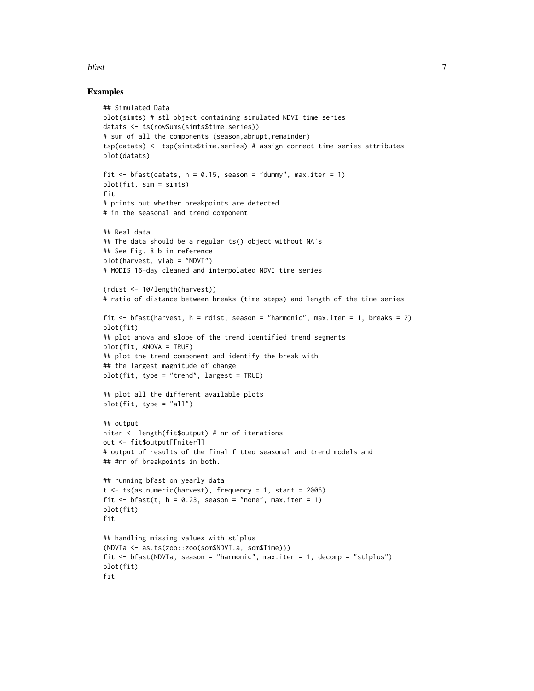#### bfast 7

#### Examples

```
## Simulated Data
plot(simts) # stl object containing simulated NDVI time series
datats <- ts(rowSums(simts$time.series))
# sum of all the components (season, abrupt, remainder)
tsp(datats) <- tsp(simts$time.series) # assign correct time series attributes
plot(datats)
fit \le bfast(datats, h = 0.15, season = "dummy", max.iter = 1)
plot(fit, sim = simts)
fit
# prints out whether breakpoints are detected
# in the seasonal and trend component
## Real data
## The data should be a regular ts() object without NA's
## See Fig. 8 b in reference
plot(harvest, ylab = "NDVI")
# MODIS 16-day cleaned and interpolated NDVI time series
(rdist <- 10/length(harvest))
# ratio of distance between breaks (time steps) and length of the time series
fit \le- bfast(harvest, h = rdist, season = "harmonic", max.iter = 1, breaks = 2)
plot(fit)
## plot anova and slope of the trend identified trend segments
plot(fit, ANOVA = TRUE)
## plot the trend component and identify the break with
## the largest magnitude of change
plot(fit, type = "trend", largest = TRUE)
## plot all the different available plots
plot(fit, type = "all")
## output
niter <- length(fit$output) # nr of iterations
out <- fit$output[[niter]]
# output of results of the final fitted seasonal and trend models and
## #nr of breakpoints in both.
## running bfast on yearly data
t < - ts(as.numeric(harvest), frequency = 1, start = 2006)
fit \le bfast(t, h = 0.23, season = "none", max.iter = 1)
plot(fit)
fit
## handling missing values with stlplus
(NDVIa <- as.ts(zoo::zoo(som$NDVI.a, som$Time)))
fit <- bfast(NDVIa, season = "harmonic", max.iter = 1, decomp = "stlplus")
plot(fit)
fit
```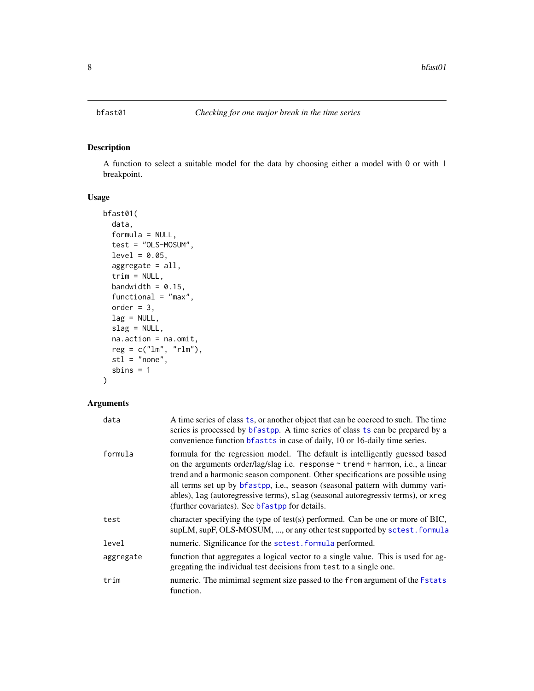#### <span id="page-7-1"></span><span id="page-7-0"></span>Description

A function to select a suitable model for the data by choosing either a model with 0 or with 1 breakpoint.

#### Usage

```
bfast01(
  data,
  formula = NULL,
  test = "OLS-MOSUM",
  level = 0.05,
  aggregate = all,
  trim = NULL,
  bandwidth = 0.15,
  functional = "max",
  order = 3,
  lag = NULL,slag = NULL,na.action = na.omit,
  reg = c("lm", "rlm"),
  st1 = "none",sbins = 1)
```

| data      | A time series of class ts, or another object that can be coerced to such. The time<br>series is processed by bfastpp. A time series of class ts can be prepared by a<br>convenience function bfastts in case of daily, 10 or 16-daily time series.                                                                                                                                                                                                                          |
|-----------|-----------------------------------------------------------------------------------------------------------------------------------------------------------------------------------------------------------------------------------------------------------------------------------------------------------------------------------------------------------------------------------------------------------------------------------------------------------------------------|
| formula   | formula for the regression model. The default is intelligently guessed based<br>on the arguments order/lag/slag i.e. response $\sim$ trend + harmon, i.e., a linear<br>trend and a harmonic season component. Other specifications are possible using<br>all terms set up by bfastpp, i.e., season (seasonal pattern with dummy vari-<br>ables), lag (autoregressive terms), slag (seasonal autoregressiv terms), or xreg<br>(further covariates). See bfastpp for details. |
| test      | character specifying the type of test(s) performed. Can be one or more of BIC,<br>supLM, supF, OLS-MOSUM, , or any other test supported by sctest. formula                                                                                                                                                                                                                                                                                                                  |
| level     | numeric. Significance for the sctest. formula performed.                                                                                                                                                                                                                                                                                                                                                                                                                    |
| aggregate | function that aggregates a logical vector to a single value. This is used for ag-<br>gregating the individual test decisions from test to a single one.                                                                                                                                                                                                                                                                                                                     |
| trim      | numeric. The mimimal segment size passed to the from argument of the Fstats<br>function.                                                                                                                                                                                                                                                                                                                                                                                    |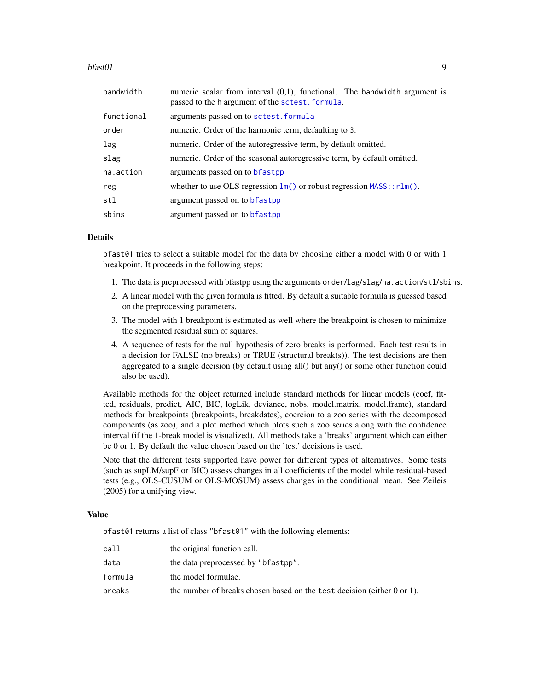#### <span id="page-8-0"></span> $b$ fast $01$

| bandwidth  | numeric scalar from interval $(0,1)$ , functional. The bandwidth argument is<br>passed to the h argument of the sctest. formula. |
|------------|----------------------------------------------------------------------------------------------------------------------------------|
| functional | arguments passed on to sctest. formula                                                                                           |
| order      | numeric. Order of the harmonic term, defaulting to 3.                                                                            |
| lag        | numeric. Order of the autoregressive term, by default omitted.                                                                   |
| slag       | numeric. Order of the seasonal autoregressive term, by default omitted.                                                          |
| na.action  | arguments passed on to bfastpp                                                                                                   |
| reg        | whether to use OLS regression $\text{Im}()$ or robust regression $MASS::rlm()$ .                                                 |
| stl        | argument passed on to <b>b</b> fastpp                                                                                            |
| sbins      | argument passed on to bfastpp                                                                                                    |

#### Details

bfast01 tries to select a suitable model for the data by choosing either a model with 0 or with 1 breakpoint. It proceeds in the following steps:

- 1. The data is preprocessed with bfastpp using the arguments order/lag/slag/na.action/stl/sbins.
- 2. A linear model with the given formula is fitted. By default a suitable formula is guessed based on the preprocessing parameters.
- 3. The model with 1 breakpoint is estimated as well where the breakpoint is chosen to minimize the segmented residual sum of squares.
- 4. A sequence of tests for the null hypothesis of zero breaks is performed. Each test results in a decision for FALSE (no breaks) or TRUE (structural break(s)). The test decisions are then aggregated to a single decision (by default using all() but any() or some other function could also be used).

Available methods for the object returned include standard methods for linear models (coef, fitted, residuals, predict, AIC, BIC, logLik, deviance, nobs, model.matrix, model.frame), standard methods for breakpoints (breakpoints, breakdates), coercion to a zoo series with the decomposed components (as.zoo), and a plot method which plots such a zoo series along with the confidence interval (if the 1-break model is visualized). All methods take a 'breaks' argument which can either be 0 or 1. By default the value chosen based on the 'test' decisions is used.

Note that the different tests supported have power for different types of alternatives. Some tests (such as supLM/supF or BIC) assess changes in all coefficients of the model while residual-based tests (e.g., OLS-CUSUM or OLS-MOSUM) assess changes in the conditional mean. See Zeileis (2005) for a unifying view.

#### Value

bfast01 returns a list of class "bfast01" with the following elements:

| call    | the original function call.                                                  |
|---------|------------------------------------------------------------------------------|
| data    | the data preprocessed by "bfastpp".                                          |
| formula | the model formulae.                                                          |
| breaks  | the number of breaks chosen based on the test decision (either $0$ or $1$ ). |
|         |                                                                              |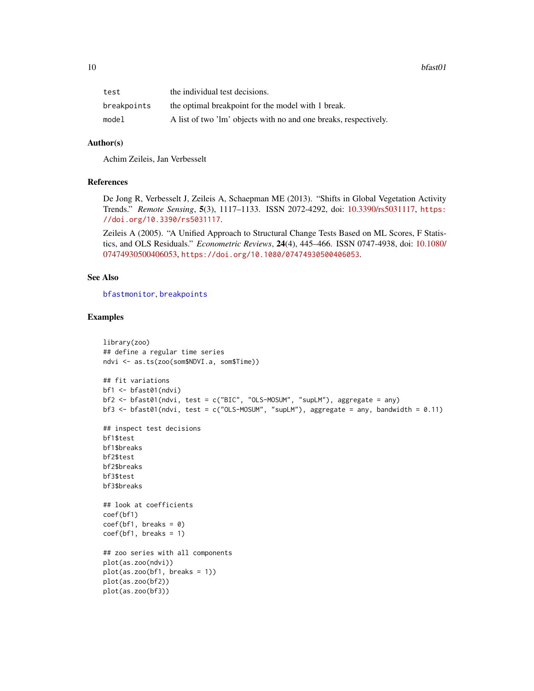<span id="page-9-0"></span>

| test        | the individual test decisions.                                   |
|-------------|------------------------------------------------------------------|
| breakpoints | the optimal breakpoint for the model with 1 break.               |
| model       | A list of two 'lm' objects with no and one breaks, respectively. |

#### Author(s)

Achim Zeileis, Jan Verbesselt

#### References

De Jong R, Verbesselt J, Zeileis A, Schaepman ME (2013). "Shifts in Global Vegetation Activity Trends." *Remote Sensing*, 5(3), 1117–1133. ISSN 2072-4292, doi: [10.3390/rs5031117,](https://doi.org/10.3390/rs5031117) [https:](https://doi.org/10.3390/rs5031117) [//doi.org/10.3390/rs5031117](https://doi.org/10.3390/rs5031117).

Zeileis A (2005). "A Unified Approach to Structural Change Tests Based on ML Scores, F Statistics, and OLS Residuals." *Econometric Reviews*, 24(4), 445–466. ISSN 0747-4938, doi: [10.1080/](https://doi.org/10.1080/07474930500406053) [07474930500406053,](https://doi.org/10.1080/07474930500406053) <https://doi.org/10.1080/07474930500406053>.

#### See Also

[bfastmonitor](#page-14-1), [breakpoints](#page-0-0)

#### Examples

```
library(zoo)
## define a regular time series
ndvi <- as.ts(zoo(som$NDVI.a, som$Time))
## fit variations
bf1 <- bfast01(ndvi)
bf2 <- bfast01(ndvi, test = c("BIC", "OLS-MOSUM", "supLM"), aggregate = any)
bf3 <- bf311)## inspect test decisions
bf1$test
bf1$breaks
bf2$test
bf2$breaks
bf3$test
bf3$breaks
## look at coefficients
coef(bf1)
coef(bf1, breaks = 0)coef(bf1, breaks = 1)## zoo series with all components
plot(as.zoo(ndvi))
plot(as.zoo(bf1, breaks = 1))
plot(as.zoo(bf2))
plot(as.zoo(bf3))
```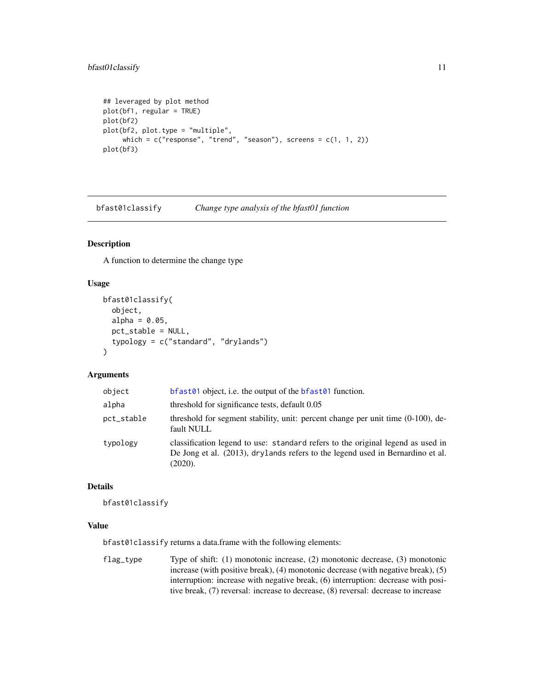```
## leveraged by plot method
plot(bf1, regular = TRUE)
plot(bf2)
plot(bf2, plot.type = "multiple",
     which = c("response", "trend", "season"), screens = <math>c(1, 1, 2)</math>)plot(bf3)
```
bfast01classify *Change type analysis of the bfast01 function*

#### Description

A function to determine the change type

#### Usage

```
bfast01classify(
  object,
  alpha = 0.05,
 pct_stable = NULL,
  typology = c("standard", "drylands")
\lambda
```
#### Arguments

| object     | bfast $01$ object, i.e. the output of the bfast $01$ function.                                                                                                               |
|------------|------------------------------------------------------------------------------------------------------------------------------------------------------------------------------|
| alpha      | threshold for significance tests, default 0.05                                                                                                                               |
| pct_stable | threshold for segment stability, unit: percent change per unit time $(0-100)$ , de-<br>fault NULL                                                                            |
| typology   | classification legend to use: standard refers to the original legend as used in<br>De Jong et al. (2013), drylands refers to the legend used in Bernardino et al.<br>(2020). |

#### Details

```
bfast01classify
```
#### Value

bfast01classify returns a data.frame with the following elements:

flag\_type Type of shift: (1) monotonic increase, (2) monotonic decrease, (3) monotonic increase (with positive break), (4) monotonic decrease (with negative break), (5) interruption: increase with negative break, (6) interruption: decrease with positive break, (7) reversal: increase to decrease, (8) reversal: decrease to increase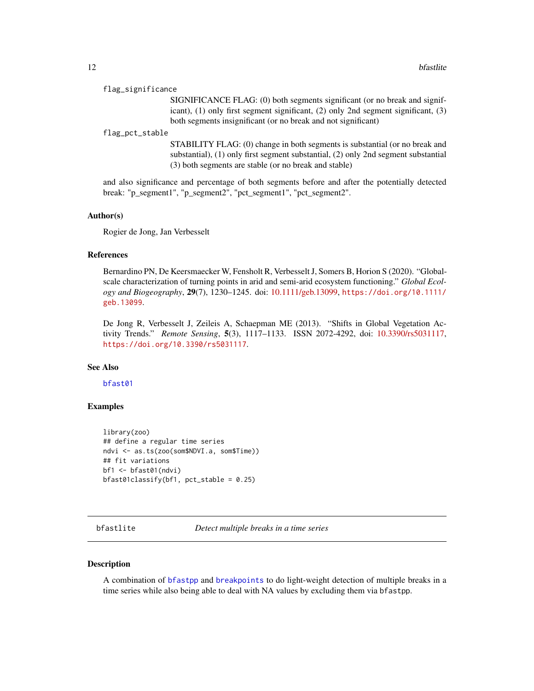#### <span id="page-11-0"></span>flag\_significance

SIGNIFICANCE FLAG: (0) both segments significant (or no break and significant), (1) only first segment significant, (2) only 2nd segment significant, (3) both segments insignificant (or no break and not significant)

#### flag\_pct\_stable

STABILITY FLAG: (0) change in both segments is substantial (or no break and substantial), (1) only first segment substantial, (2) only 2nd segment substantial (3) both segments are stable (or no break and stable)

and also significance and percentage of both segments before and after the potentially detected break: "p\_segment1", "p\_segment2", "pct\_segment1", "pct\_segment2".

#### Author(s)

Rogier de Jong, Jan Verbesselt

#### References

Bernardino PN, De Keersmaecker W, Fensholt R, Verbesselt J, Somers B, Horion S (2020). "Globalscale characterization of turning points in arid and semi-arid ecosystem functioning." *Global Ecology and Biogeography*, 29(7), 1230–1245. doi: [10.1111/geb.13099,](https://doi.org/10.1111/geb.13099) [https://doi.org/10.1111/](https://doi.org/10.1111/geb.13099) [geb.13099](https://doi.org/10.1111/geb.13099).

De Jong R, Verbesselt J, Zeileis A, Schaepman ME (2013). "Shifts in Global Vegetation Activity Trends." *Remote Sensing*, 5(3), 1117–1133. ISSN 2072-4292, doi: [10.3390/rs5031117,](https://doi.org/10.3390/rs5031117) <https://doi.org/10.3390/rs5031117>.

#### See Also

[bfast01](#page-7-1)

#### Examples

```
library(zoo)
## define a regular time series
ndvi <- as.ts(zoo(som$NDVI.a, som$Time))
## fit variations
bf1 <- bfast01(ndvi)
bfast01classify(bf1, pct_stable = 0.25)
```
<span id="page-11-1"></span>bfastlite *Detect multiple breaks in a time series*

#### **Description**

A combination of [bfastpp](#page-18-1) and [breakpoints](#page-0-0) to do light-weight detection of multiple breaks in a time series while also being able to deal with NA values by excluding them via bfastpp.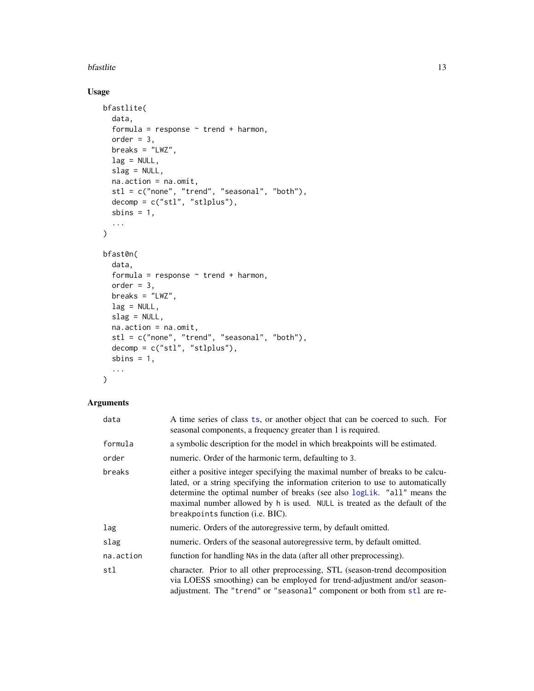#### <span id="page-12-0"></span>bfastlite the state of the state of the state of the state of the state of the state of the state of the state of the state of the state of the state of the state of the state of the state of the state of the state of the

### Usage

```
bfastlite(
  data,
  formula = response \sim trend + harmon,
  order = 3,
  breaks = "LWZ".lag = NULL,slag = NULL,
  na.action = na.omit,
  stl = c("none", "trend", "seasonal", "both"),
  decomp = c("st1", "st1plus"),sbins = 1,
  ...
\mathcal{L}bfast0n(
  data,
  formula = response \sim trend + harmon,
  order = 3,
  breaks = "LWZ",
  lag = NULL,slag = NULL,
  na.action = na.omit,
  stl = c("none", "trend", "seasonal", "both"),
  decomp = c("stl", "stlplus"),
  sbins = 1,
  ...
\mathcal{L}
```

| data      | A time series of class ts, or another object that can be coerced to such. For<br>seasonal components, a frequency greater than 1 is required.                                                                                                                                                                                                                   |
|-----------|-----------------------------------------------------------------------------------------------------------------------------------------------------------------------------------------------------------------------------------------------------------------------------------------------------------------------------------------------------------------|
| formula   | a symbolic description for the model in which breakpoints will be estimated.                                                                                                                                                                                                                                                                                    |
| order     | numeric. Order of the harmonic term, defaulting to 3.                                                                                                                                                                                                                                                                                                           |
| breaks    | either a positive integer specifying the maximal number of breaks to be calcu-<br>lated, or a string specifying the information criterion to use to automatically<br>determine the optimal number of breaks (see also logLik. "all" means the<br>maximal number allowed by h is used. NULL is treated as the default of the<br>breakpoints function (i.e. BIC). |
| lag       | numeric. Orders of the autoregressive term, by default omitted.                                                                                                                                                                                                                                                                                                 |
| slag      | numeric. Orders of the seasonal autoregressive term, by default omitted.                                                                                                                                                                                                                                                                                        |
| na.action | function for handling NAs in the data (after all other preprocessing).                                                                                                                                                                                                                                                                                          |
| stl       | character. Prior to all other preprocessing, STL (season-trend decomposition<br>via LOESS smoothing) can be employed for trend-adjustment and/or season-<br>adjustment. The "trend" or "seasonal" component or both from stl are re-                                                                                                                            |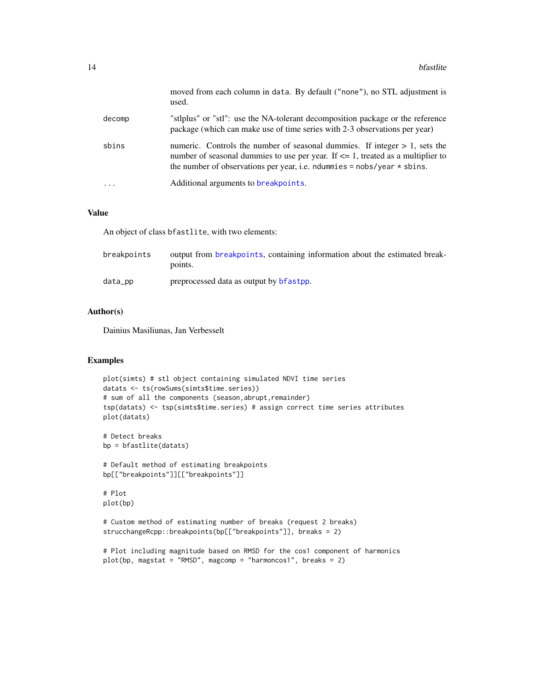<span id="page-13-0"></span>

|        | moved from each column in data. By default ("none"), no STL adjustment is<br>used.                                                                                                                                                                   |
|--------|------------------------------------------------------------------------------------------------------------------------------------------------------------------------------------------------------------------------------------------------------|
| decomp | "stiplus" or "stil": use the NA-tolerant decomposition package or the reference<br>package (which can make use of time series with 2-3 observations per year)                                                                                        |
| sbins  | numeric. Controls the number of seasonal dummies. If integer $> 1$ , sets the<br>number of seasonal dummies to use per year. If $\leq$ 1, treated as a multiplier to<br>the number of observations per year, i.e. no number $=$ nobs/year $*$ sbins. |
| .      | Additional arguments to breakpoints.                                                                                                                                                                                                                 |

#### Value

An object of class bfastlite, with two elements:

| breakpoints | output from breakpoints, containing information about the estimated break-<br>points. |
|-------------|---------------------------------------------------------------------------------------|
| data_pp     | preprocessed data as output by <b>b</b> fastpp.                                       |

#### Author(s)

Dainius Masiliunas, Jan Verbesselt

#### Examples

```
plot(simts) # stl object containing simulated NDVI time series
datats <- ts(rowSums(simts$time.series))
# sum of all the components (season, abrupt, remainder)
tsp(datats) <- tsp(simts$time.series) # assign correct time series attributes
plot(datats)
```
# Detect breaks bp = bfastlite(datats)

# Default method of estimating breakpoints bp[["breakpoints"]][["breakpoints"]]

# Plot plot(bp)

```
# Custom method of estimating number of breaks (request 2 breaks)
strucchangeRcpp::breakpoints(bp[["breakpoints"]], breaks = 2)
```

```
# Plot including magnitude based on RMSD for the cos1 component of harmonics
plot(bp, magstat = "RMSD", magcomp = "harmoncos1", breaks = 2)
```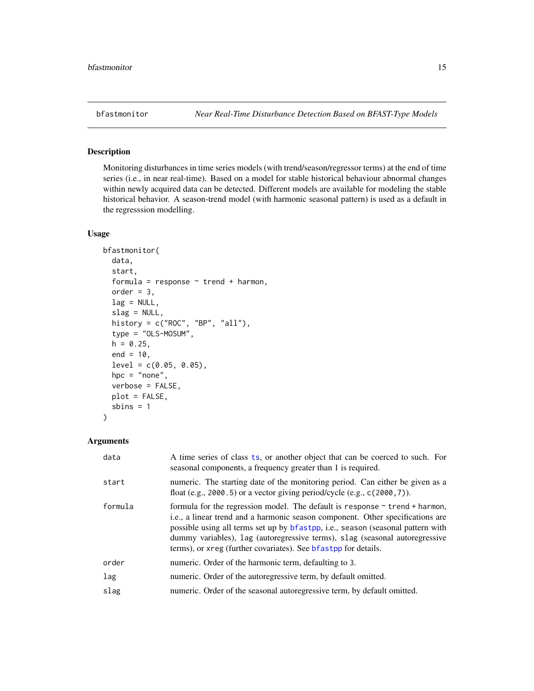<span id="page-14-1"></span><span id="page-14-0"></span>

#### Description

Monitoring disturbances in time series models (with trend/season/regressor terms) at the end of time series (i.e., in near real-time). Based on a model for stable historical behaviour abnormal changes within newly acquired data can be detected. Different models are available for modeling the stable historical behavior. A season-trend model (with harmonic seasonal pattern) is used as a default in the regresssion modelling.

#### Usage

```
bfastmonitor(
  data,
  start,
  formula = response \sim trend + harmon,
  order = 3,
  lag = NULL,slag = NULL,history = c("ROC", "BP", "all"),
  type = "OLS-MOSUM",
  h = 0.25,
  end = 10,
  level = c(0.05, 0.05),
  hpc = "none",verbose = FALSE,
  plot = FALSE,
  sbins = 1)
```

| data    | A time series of class ts, or another object that can be coerced to such. For<br>seasonal components, a frequency greater than 1 is required.                                                                                                                                                                                                                                                                  |
|---------|----------------------------------------------------------------------------------------------------------------------------------------------------------------------------------------------------------------------------------------------------------------------------------------------------------------------------------------------------------------------------------------------------------------|
| start   | numeric. The starting date of the monitoring period. Can either be given as a<br>float (e.g., 2000.5) or a vector giving period/cycle (e.g., $c(2000, 7)$ ).                                                                                                                                                                                                                                                   |
| formula | formula for the regression model. The default is response $\sim$ trend + harmon,<br>i.e., a linear trend and a harmonic season component. Other specifications are<br>possible using all terms set up by bfastpp, i.e., season (seasonal pattern with<br>dummy variables), lag (autoregressive terms), slag (seasonal autoregressive<br>terms), or xreg (further covariates). See <b>b</b> fastpp for details. |
| order   | numeric. Order of the harmonic term, defaulting to 3.                                                                                                                                                                                                                                                                                                                                                          |
| lag     | numeric. Order of the autoregressive term, by default omitted.                                                                                                                                                                                                                                                                                                                                                 |
| slag    | numeric. Order of the seasonal autoregressive term, by default omitted.                                                                                                                                                                                                                                                                                                                                        |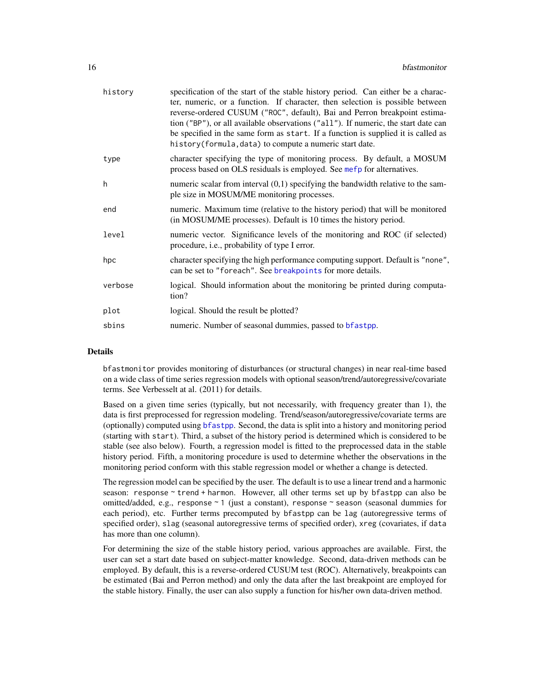<span id="page-15-0"></span>

| history | specification of the start of the stable history period. Can either be a charac-<br>ter, numeric, or a function. If character, then selection is possible between<br>reverse-ordered CUSUM ("ROC", default), Bai and Perron breakpoint estima-<br>tion ("BP"), or all available observations ("all"). If numeric, the start date can<br>be specified in the same form as start. If a function is supplied it is called as<br>history (formula, data) to compute a numeric start date. |
|---------|---------------------------------------------------------------------------------------------------------------------------------------------------------------------------------------------------------------------------------------------------------------------------------------------------------------------------------------------------------------------------------------------------------------------------------------------------------------------------------------|
| type    | character specifying the type of monitoring process. By default, a MOSUM<br>process based on OLS residuals is employed. See mefp for alternatives.                                                                                                                                                                                                                                                                                                                                    |
| h       | numeric scalar from interval $(0,1)$ specifying the bandwidth relative to the sam-<br>ple size in MOSUM/ME monitoring processes.                                                                                                                                                                                                                                                                                                                                                      |
| end     | numeric. Maximum time (relative to the history period) that will be monitored<br>(in MOSUM/ME processes). Default is 10 times the history period.                                                                                                                                                                                                                                                                                                                                     |
| level   | numeric vector. Significance levels of the monitoring and ROC (if selected)<br>procedure, i.e., probability of type I error.                                                                                                                                                                                                                                                                                                                                                          |
| hpc     | character specifying the high performance computing support. Default is "none",<br>can be set to "foreach". See breakpoints for more details.                                                                                                                                                                                                                                                                                                                                         |
| verbose | logical. Should information about the monitoring be printed during computa-<br>tion?                                                                                                                                                                                                                                                                                                                                                                                                  |
| plot    | logical. Should the result be plotted?                                                                                                                                                                                                                                                                                                                                                                                                                                                |
| sbins   | numeric. Number of seasonal dummies, passed to bfastpp.                                                                                                                                                                                                                                                                                                                                                                                                                               |

#### Details

bfastmonitor provides monitoring of disturbances (or structural changes) in near real-time based on a wide class of time series regression models with optional season/trend/autoregressive/covariate terms. See Verbesselt at al. (2011) for details.

Based on a given time series (typically, but not necessarily, with frequency greater than 1), the data is first preprocessed for regression modeling. Trend/season/autoregressive/covariate terms are (optionally) computed using [bfastpp](#page-18-1). Second, the data is split into a history and monitoring period (starting with start). Third, a subset of the history period is determined which is considered to be stable (see also below). Fourth, a regression model is fitted to the preprocessed data in the stable history period. Fifth, a monitoring procedure is used to determine whether the observations in the monitoring period conform with this stable regression model or whether a change is detected.

The regression model can be specified by the user. The default is to use a linear trend and a harmonic season: response ~ trend + harmon. However, all other terms set up by bfastpp can also be omitted/added, e.g., response ~ 1 (just a constant), response ~ season (seasonal dummies for each period), etc. Further terms precomputed by bfastpp can be lag (autoregressive terms of specified order), slag (seasonal autoregressive terms of specified order), xreg (covariates, if data has more than one column).

For determining the size of the stable history period, various approaches are available. First, the user can set a start date based on subject-matter knowledge. Second, data-driven methods can be employed. By default, this is a reverse-ordered CUSUM test (ROC). Alternatively, breakpoints can be estimated (Bai and Perron method) and only the data after the last breakpoint are employed for the stable history. Finally, the user can also supply a function for his/her own data-driven method.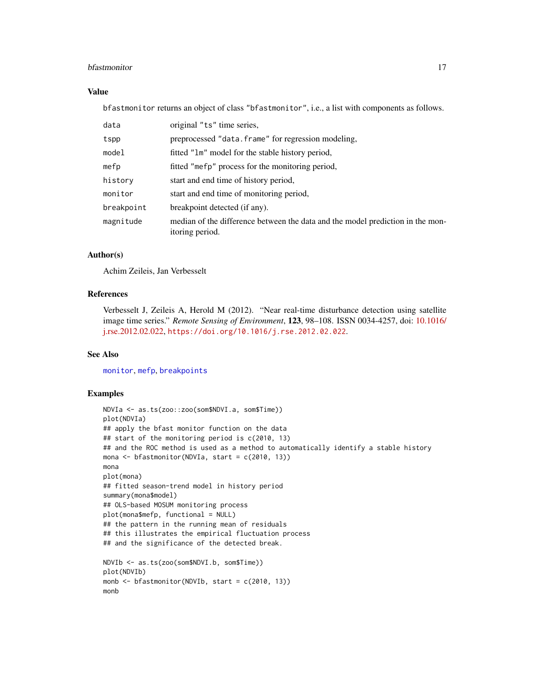#### <span id="page-16-0"></span>bfastmonitor and the set of the set of the set of the set of the set of the set of the set of the set of the set of the set of the set of the set of the set of the set of the set of the set of the set of the set of the set

#### Value

bfastmonitor returns an object of class "bfastmonitor", i.e., a list with components as follows.

| data       | original "ts" time series,                                                                        |
|------------|---------------------------------------------------------------------------------------------------|
| tspp       | preprocessed "data. frame" for regression modeling,                                               |
| model      | fitted "lm" model for the stable history period,                                                  |
| mefp       | fitted "mefp" process for the monitoring period,                                                  |
| history    | start and end time of history period,                                                             |
| monitor    | start and end time of monitoring period,                                                          |
| breakpoint | breakpoint detected (if any).                                                                     |
| magnitude  | median of the difference between the data and the model prediction in the mon-<br>itoring period. |

#### Author(s)

Achim Zeileis, Jan Verbesselt

#### References

Verbesselt J, Zeileis A, Herold M (2012). "Near real-time disturbance detection using satellite image time series." *Remote Sensing of Environment*, 123, 98–108. ISSN 0034-4257, doi: [10.1016/](https://doi.org/10.1016/j.rse.2012.02.022) [j.rse.2012.02.022,](https://doi.org/10.1016/j.rse.2012.02.022) <https://doi.org/10.1016/j.rse.2012.02.022>.

#### See Also

[monitor](#page-0-0), [mefp](#page-0-0), [breakpoints](#page-0-0)

#### Examples

```
NDVIa <- as.ts(zoo::zoo(som$NDVI.a, som$Time))
plot(NDVIa)
## apply the bfast monitor function on the data
## start of the monitoring period is c(2010, 13)
## and the ROC method is used as a method to automatically identify a stable history
mona <- bfastmonitor(NDVIa, start = c(2010, 13))
mona
plot(mona)
## fitted season-trend model in history period
summary(mona$model)
## OLS-based MOSUM monitoring process
plot(mona$mefp, functional = NULL)
## the pattern in the running mean of residuals
## this illustrates the empirical fluctuation process
## and the significance of the detected break.
NDVIb <- as.ts(zoo(som$NDVI.b, som$Time))
plot(NDVIb)
monb \leq bfastmonitor(NDVIb, start = c(2010, 13))
monb
```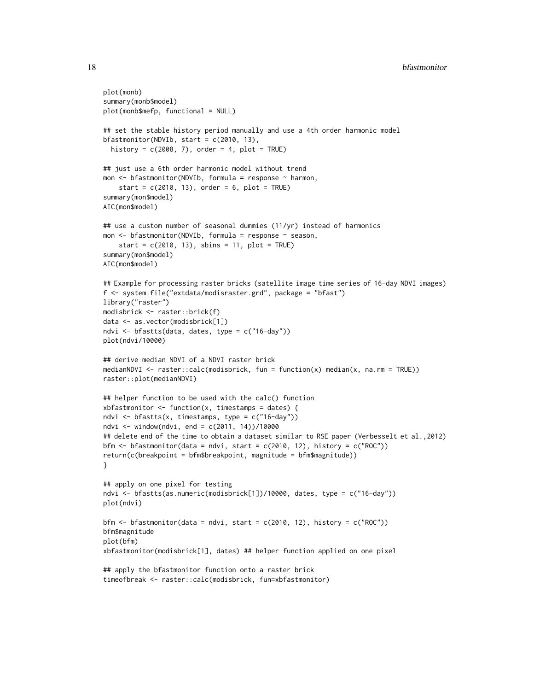```
plot(monb)
summary(monb$model)
plot(monb$mefp, functional = NULL)
## set the stable history period manually and use a 4th order harmonic model
bfastmonitor(NDVIb, start = c(2010, 13),
  history = c(2008, 7), order = 4, plot = TRUE)
## just use a 6th order harmonic model without trend
mon <- bfastmonitor(NDVIb, formula = response ~ harmon,
    start = c(2010, 13), order = 6, plot = TRUE)
summary(mon$model)
AIC(mon$model)
## use a custom number of seasonal dummies (11/yr) instead of harmonics
mon <- bfastmonitor(NDVIb, formula = response ~ season,
    start = c(2010, 13), sbins = 11, plot = TRUE)
summary(mon$model)
AIC(mon$model)
## Example for processing raster bricks (satellite image time series of 16-day NDVI images)
f <- system.file("extdata/modisraster.grd", package = "bfast")
library("raster")
modisbrick <- raster::brick(f)
data <- as.vector(modisbrick[1])
ndvi <- bfastts(data, dates, type = c("16-day"))
plot(ndvi/10000)
## derive median NDVI of a NDVI raster brick
medianNDVI <- raster::calc(modisbrick, fun = function(x) median(x, na.rm = TRUE))
raster::plot(medianNDVI)
## helper function to be used with the calc() function
xbfastmonitor \leq function(x, timestamps = dates) {
ndvi \leq bfastts(x, timestamps, type = c("16-day"))
ndvi <- window(ndvi, end = c(2011, 14))/10000
## delete end of the time to obtain a dataset similar to RSE paper (Verbesselt et al.,2012)
bfm \le bfastmonitor(data = ndvi, start = c(2010, 12), history = c("ROC"))
return(c(breakpoint = bfm$breakpoint, magnitude = bfm$magnitude))
}
## apply on one pixel for testing
ndvi <- bfastts(as.numeric(modisbrick[1])/10000, dates, type = c("16-day"))
plot(ndvi)
bfm \le bfastmonitor(data = ndvi, start = c(2010, 12), history = c("ROC"))
bfm$magnitude
plot(bfm)
xbfastmonitor(modisbrick[1], dates) ## helper function applied on one pixel
## apply the bfastmonitor function onto a raster brick
timeofbreak <- raster::calc(modisbrick, fun=xbfastmonitor)
```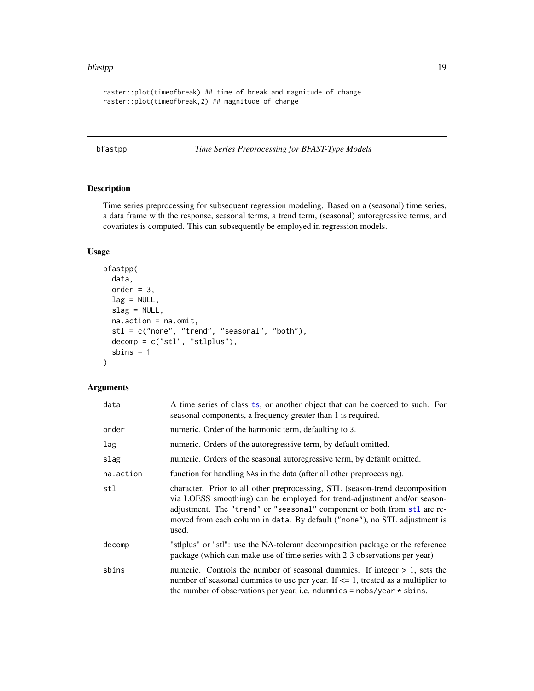#### <span id="page-18-0"></span>bfastpp and the state of the state of the state of the state of the state of the state of the state of the state of the state of the state of the state of the state of the state of the state of the state of the state of th

```
raster::plot(timeofbreak) ## time of break and magnitude of change
raster::plot(timeofbreak,2) ## magnitude of change
```
<span id="page-18-1"></span>bfastpp *Time Series Preprocessing for BFAST-Type Models*

#### Description

Time series preprocessing for subsequent regression modeling. Based on a (seasonal) time series, a data frame with the response, seasonal terms, a trend term, (seasonal) autoregressive terms, and covariates is computed. This can subsequently be employed in regression models.

#### Usage

```
bfastpp(
  data,
  order = 3,
  lag = NULL,slag = NULL,na.action = na.omit,
  stl = c("none", "trend", "seasonal", "both"),
 decomp = c("stl", "stlplus"),
  sbins = 1\mathcal{L}
```

| data      | A time series of class ts, or another object that can be coerced to such. For<br>seasonal components, a frequency greater than 1 is required.                                                                                                                                                                              |
|-----------|----------------------------------------------------------------------------------------------------------------------------------------------------------------------------------------------------------------------------------------------------------------------------------------------------------------------------|
| order     | numeric. Order of the harmonic term, defaulting to 3.                                                                                                                                                                                                                                                                      |
| lag       | numeric. Orders of the autoregressive term, by default omitted.                                                                                                                                                                                                                                                            |
| slag      | numeric. Orders of the seasonal autoregressive term, by default omitted.                                                                                                                                                                                                                                                   |
| na.action | function for handling NAs in the data (after all other preprocessing).                                                                                                                                                                                                                                                     |
| stl       | character. Prior to all other preprocessing, STL (season-trend decomposition<br>via LOESS smoothing) can be employed for trend-adjustment and/or season-<br>adjustment. The "trend" or "seasonal" component or both from stl are re-<br>moved from each column in data. By default ("none"), no STL adjustment is<br>used. |
| decomp    | "stlplus" or "stl": use the NA-tolerant decomposition package or the reference<br>package (which can make use of time series with 2-3 observations per year)                                                                                                                                                               |
| sbins     | numeric. Controls the number of seasonal dummies. If integer $> 1$ , sets the<br>number of seasonal dummies to use per year. If $\leq$ 1, treated as a multiplier to<br>the number of observations per year, i.e. ndummies = $nobs/year * sbins$ .                                                                         |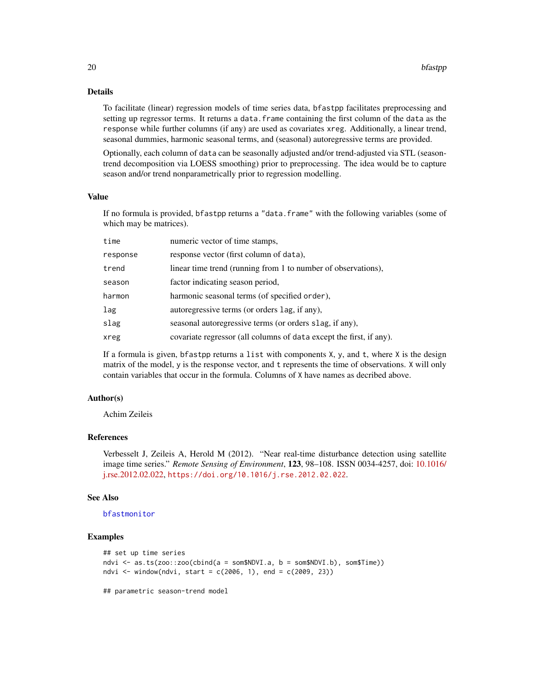#### <span id="page-19-0"></span>Details

To facilitate (linear) regression models of time series data, bfastpp facilitates preprocessing and setting up regressor terms. It returns a data. frame containing the first column of the data as the response while further columns (if any) are used as covariates xreg. Additionally, a linear trend, seasonal dummies, harmonic seasonal terms, and (seasonal) autoregressive terms are provided.

Optionally, each column of data can be seasonally adjusted and/or trend-adjusted via STL (seasontrend decomposition via LOESS smoothing) prior to preprocessing. The idea would be to capture season and/or trend nonparametrically prior to regression modelling.

#### Value

If no formula is provided, bfastpp returns a "data.frame" with the following variables (some of which may be matrices).

| time     | numeric vector of time stamps,                                      |
|----------|---------------------------------------------------------------------|
| response | response vector (first column of data),                             |
| trend    | linear time trend (running from 1 to number of observations),       |
| season   | factor indicating season period,                                    |
| harmon   | harmonic seasonal terms (of specified order),                       |
| lag      | autoregressive terms (or orders lag, if any),                       |
| slag     | seasonal autoregressive terms (or orders slag, if any),             |
| xreg     | covariate regressor (all columns of data except the first, if any). |

If a formula is given, bfastpp returns a list with components  $X$ ,  $y$ , and  $t$ , where  $X$  is the design matrix of the model, y is the response vector, and t represents the time of observations. X will only contain variables that occur in the formula. Columns of X have names as decribed above.

#### Author(s)

Achim Zeileis

#### References

Verbesselt J, Zeileis A, Herold M (2012). "Near real-time disturbance detection using satellite image time series." *Remote Sensing of Environment*, 123, 98–108. ISSN 0034-4257, doi: [10.1016/](https://doi.org/10.1016/j.rse.2012.02.022) [j.rse.2012.02.022,](https://doi.org/10.1016/j.rse.2012.02.022) <https://doi.org/10.1016/j.rse.2012.02.022>.

#### See Also

#### [bfastmonitor](#page-14-1)

#### Examples

```
## set up time series
ndvi <- as.ts(zoo::zoo(cbind(a = som$NDVI.a, b = som$NDVI.b), som$Time))
ndvi <- window(ndvi, start = c(2006, 1), end = c(2009, 23))
```
## parametric season-trend model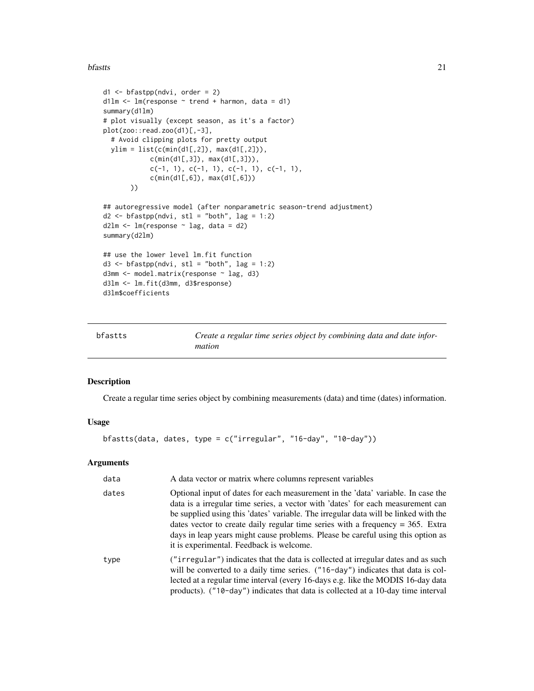#### <span id="page-20-0"></span>bfastts 21

```
d1 <- bfastpp(ndvi, order = 2)
d1lm \leq lm(response \sim trend + harmon, data = d1)
summary(d1lm)
# plot visually (except season, as it's a factor)
plot(zoo::read.zoo(d1)[,-3],
  # Avoid clipping plots for pretty output
  ylim = list(c(min(d1[,2]), max(d1[,2])),
            c(min(d1[,3]), max(d1[,3])),
            c(-1, 1), c(-1, 1), c(-1, 1), c(-1, 1),c(min(d1[,6]), max(d1[,6]))
       ))
## autoregressive model (after nonparametric season-trend adjustment)
d2 \leq -b fastpp(ndvi, stl = "both", lag = 1:2)
d2lm \leftarrow lm(response \sim lag, data = d2)summary(d2lm)
## use the lower level lm.fit function
d3 <- bfastpp(ndvi, stl = "both", lag = 1:2)
d3mm <- model.matrix(response ~ lag, d3)
d3lm <- lm.fit(d3mm, d3$response)
d3lm$coefficients
```
<span id="page-20-1"></span>

| bfastts | Create a regular time series object by combining data and date infor- |
|---------|-----------------------------------------------------------------------|
|         | mation                                                                |

#### Description

Create a regular time series object by combining measurements (data) and time (dates) information.

#### Usage

```
bfastts(data, dates, type = c("irregular", "16-day", "10-day"))
```

| data  | A data vector or matrix where columns represent variables                                                                                                                                                                                                                                                                                                                                                                                                                     |
|-------|-------------------------------------------------------------------------------------------------------------------------------------------------------------------------------------------------------------------------------------------------------------------------------------------------------------------------------------------------------------------------------------------------------------------------------------------------------------------------------|
| dates | Optional input of dates for each measurement in the 'data' variable. In case the<br>data is a irregular time series, a vector with 'dates' for each measurement can<br>be supplied using this 'dates' variable. The irregular data will be linked with the<br>dates vector to create daily regular time series with a frequency $=$ 365. Extra<br>days in leap years might cause problems. Please be careful using this option as<br>it is experimental. Feedback is welcome. |
| type  | ("irregular") indicates that the data is collected at irregular dates and as such<br>will be converted to a daily time series. ("16-day") indicates that data is col-<br>lected at a regular time interval (every 16-days e.g. like the MODIS 16-day data<br>products). ( $"10$ -day") indicates that data is collected at a 10-day time interval                                                                                                                             |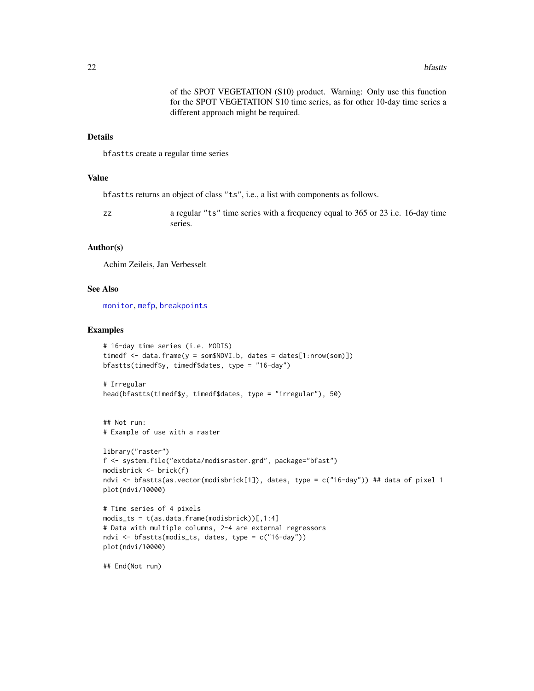of the SPOT VEGETATION (S10) product. Warning: Only use this function for the SPOT VEGETATION S10 time series, as for other 10-day time series a different approach might be required.

#### <span id="page-21-0"></span>Details

bfastts create a regular time series

#### Value

bfastts returns an object of class "ts", i.e., a list with components as follows.

zz a regular "ts" time series with a frequency equal to 365 or 23 i.e. 16-day time series.

#### Author(s)

Achim Zeileis, Jan Verbesselt

#### See Also

[monitor](#page-0-0), [mefp](#page-0-0), [breakpoints](#page-0-0)

#### Examples

```
# 16-day time series (i.e. MODIS)
timedf \leq data.frame(y = som$NDVI.b, dates = dates[1:nrow(som)])
bfastts(timedf$y, timedf$dates, type = "16-day")
```

```
# Irregular
head(bfastts(timedf$y, timedf$dates, type = "irregular"), 50)
```

```
## Not run:
# Example of use with a raster
```

```
library("raster")
f <- system.file("extdata/modisraster.grd", package="bfast")
modisbrick <- brick(f)
ndvi <- bfastts(as.vector(modisbrick[1]), dates, type = c("16-day")) ## data of pixel 1
plot(ndvi/10000)
```

```
# Time series of 4 pixels
modis_ts = t(as.data.frame(modisbrick))[1:4]# Data with multiple columns, 2-4 are external regressors
ndvi <- bfastts(modis_ts, dates, type = c("16-day"))
plot(ndvi/10000)
```
## End(Not run)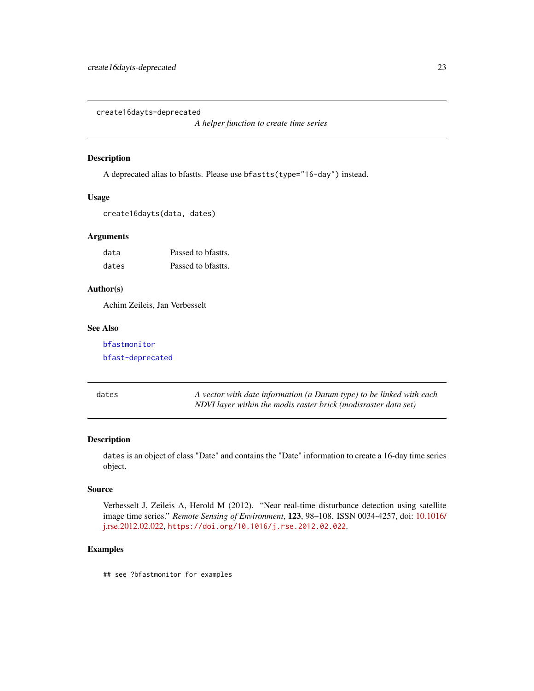<span id="page-22-0"></span>create16dayts-deprecated

*A helper function to create time series*

#### Description

A deprecated alias to bfastts. Please use bfastts(type="16-day") instead.

#### Usage

```
create16dayts(data, dates)
```
#### Arguments

| data  | Passed to brastts. |
|-------|--------------------|
| dates | Passed to brastts. |

#### Author(s)

Achim Zeileis, Jan Verbesselt

#### See Also

[bfastmonitor](#page-14-1) [bfast-deprecated](#page-0-0)

A vector with date information (a Datum type) to be linked with each *NDVI layer within the modis raster brick (modisraster data set)*

#### Description

dates is an object of class "Date" and contains the "Date" information to create a 16-day time series object.

#### Source

Verbesselt J, Zeileis A, Herold M (2012). "Near real-time disturbance detection using satellite image time series." *Remote Sensing of Environment*, 123, 98–108. ISSN 0034-4257, doi: [10.1016/](https://doi.org/10.1016/j.rse.2012.02.022) [j.rse.2012.02.022,](https://doi.org/10.1016/j.rse.2012.02.022) <https://doi.org/10.1016/j.rse.2012.02.022>.

#### Examples

## see ?bfastmonitor for examples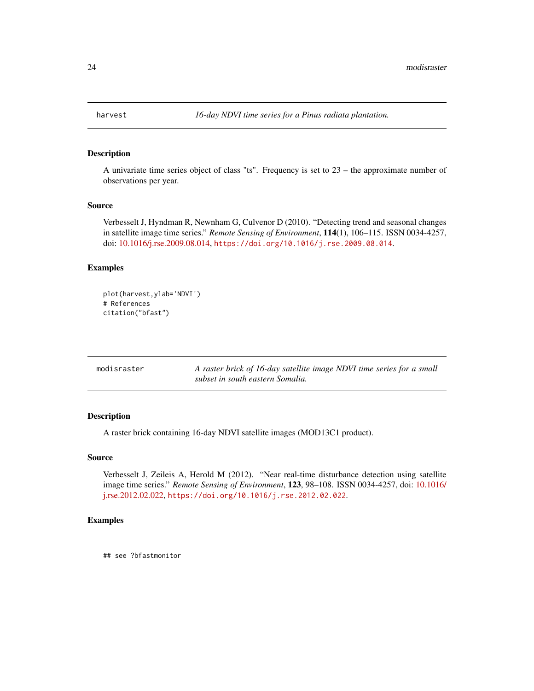<span id="page-23-1"></span><span id="page-23-0"></span>

#### Description

A univariate time series object of class "ts". Frequency is set to 23 – the approximate number of observations per year.

#### Source

Verbesselt J, Hyndman R, Newnham G, Culvenor D (2010). "Detecting trend and seasonal changes in satellite image time series." *Remote Sensing of Environment*, 114(1), 106–115. ISSN 0034-4257, doi: [10.1016/j.rse.2009.08.014,](https://doi.org/10.1016/j.rse.2009.08.014) <https://doi.org/10.1016/j.rse.2009.08.014>.

#### Examples

```
plot(harvest,ylab='NDVI')
# References
citation("bfast")
```

| modisraster | A raster brick of 16-day satellite image NDVI time series for a small |
|-------------|-----------------------------------------------------------------------|
|             | subset in south eastern Somalia.                                      |

#### Description

A raster brick containing 16-day NDVI satellite images (MOD13C1 product).

#### Source

Verbesselt J, Zeileis A, Herold M (2012). "Near real-time disturbance detection using satellite image time series." *Remote Sensing of Environment*, 123, 98–108. ISSN 0034-4257, doi: [10.1016/](https://doi.org/10.1016/j.rse.2012.02.022) [j.rse.2012.02.022,](https://doi.org/10.1016/j.rse.2012.02.022) <https://doi.org/10.1016/j.rse.2012.02.022>.

#### Examples

## see ?bfastmonitor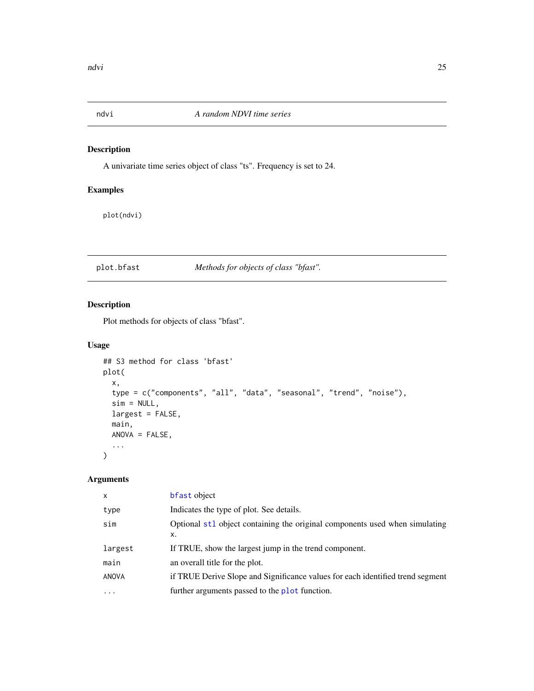<span id="page-24-0"></span>

#### Description

A univariate time series object of class "ts". Frequency is set to 24.

#### Examples

plot(ndvi)

### <span id="page-24-1"></span>plot.bfast *Methods for objects of class "bfast".*

#### Description

Plot methods for objects of class "bfast".

#### Usage

```
## S3 method for class 'bfast'
plot(
 x,
  type = c("components", "all", "data", "seasonal", "trend", "noise"),
 sim = NULL,largest = FALSE,main,
 ANOVA = FALSE,
  ...
\mathcal{L}
```

| $\mathsf{x}$ | bfast object                                                                   |
|--------------|--------------------------------------------------------------------------------|
| type         | Indicates the type of plot. See details.                                       |
| sim          | Optional st1 object containing the original components used when simulating    |
|              | x.                                                                             |
| largest      | If TRUE, show the largest jump in the trend component.                         |
| main         | an overall title for the plot.                                                 |
| ANOVA        | if TRUE Derive Slope and Significance values for each identified trend segment |
| $\ddotsc$    | further arguments passed to the plot function.                                 |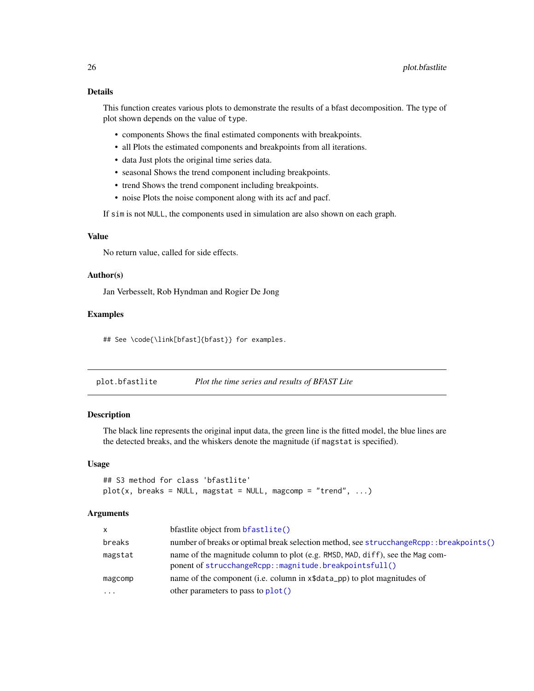#### <span id="page-25-0"></span>Details

This function creates various plots to demonstrate the results of a bfast decomposition. The type of plot shown depends on the value of type.

- components Shows the final estimated components with breakpoints.
- all Plots the estimated components and breakpoints from all iterations.
- data Just plots the original time series data.
- seasonal Shows the trend component including breakpoints.
- trend Shows the trend component including breakpoints.
- noise Plots the noise component along with its acf and pacf.

If sim is not NULL, the components used in simulation are also shown on each graph.

#### Value

No return value, called for side effects.

#### Author(s)

Jan Verbesselt, Rob Hyndman and Rogier De Jong

#### Examples

## See \code{\link[bfast]{bfast}} for examples.

| plot.bfastlite | Plot the time series and results of BFAST Lite |  |
|----------------|------------------------------------------------|--|
|                |                                                |  |

#### Description

The black line represents the original input data, the green line is the fitted model, the blue lines are the detected breaks, and the whiskers denote the magnitude (if magstat is specified).

#### Usage

```
## S3 method for class 'bfastlite'
plot(x, breaks = NULL, magstat = NULL, magcomp = "trend", ...)
```

| $\mathsf{x}$ | bfastlite object from bfastlite()                                                                                                       |
|--------------|-----------------------------------------------------------------------------------------------------------------------------------------|
| breaks       | number of breaks or optimal break selection method, see strucchangeRcpp::breakpoints()                                                  |
| magstat      | name of the magnitude column to plot (e.g. RMSD, MAD, diff), see the Mag com-<br>ponent of strucchangeRcpp::magnitude.breakpointsfull() |
| magcomp      | name of the component (i.e. column in x\$data_pp) to plot magnitudes of                                                                 |
| $\cdots$     | other parameters to pass to plot()                                                                                                      |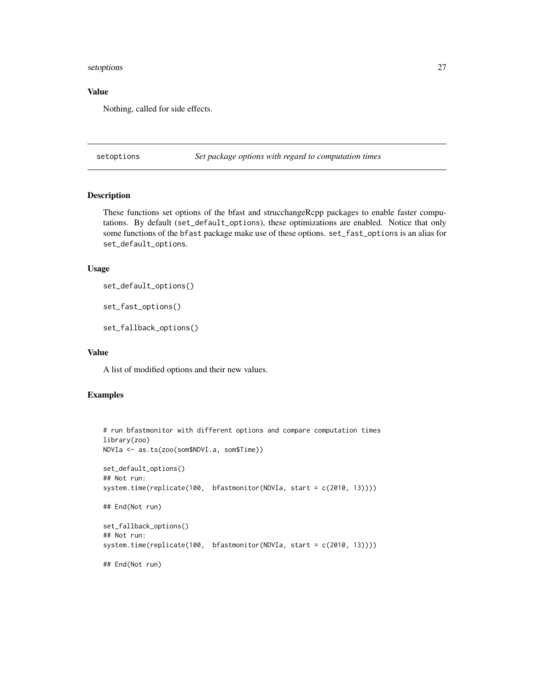#### <span id="page-26-0"></span>setoptions 27

#### Value

Nothing, called for side effects.

setoptions *Set package options with regard to computation times*

#### <span id="page-26-1"></span>Description

These functions set options of the bfast and strucchangeRcpp packages to enable faster computations. By default (set\_default\_options), these optimizations are enabled. Notice that only some functions of the bfast package make use of these options. set\_fast\_options is an alias for set\_default\_options.

#### Usage

```
set_default_options()
```
set\_fast\_options()

```
set_fallback_options()
```
#### Value

A list of modified options and their new values.

#### Examples

```
# run bfastmonitor with different options and compare computation times
library(zoo)
NDVIa <- as.ts(zoo(som$NDVI.a, som$Time))
set_default_options()
## Not run:
system.time(replicate(100, bfastmonitor(NDVIa, start = c(2010, 13))))
## End(Not run)
set_fallback_options()
## Not run:
system.time(replicate(100, bfastmonitor(NDVIa, start = c(2010, 13))))
## End(Not run)
```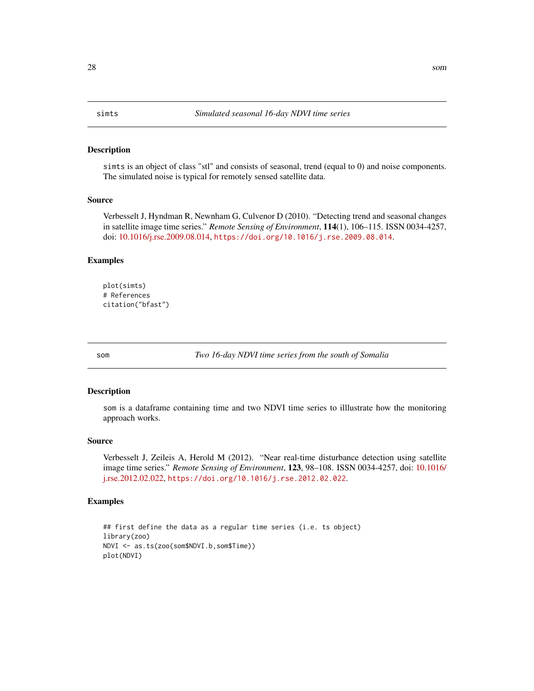#### <span id="page-27-1"></span><span id="page-27-0"></span>Description

simts is an object of class "stl" and consists of seasonal, trend (equal to 0) and noise components. The simulated noise is typical for remotely sensed satellite data.

#### Source

Verbesselt J, Hyndman R, Newnham G, Culvenor D (2010). "Detecting trend and seasonal changes in satellite image time series." *Remote Sensing of Environment*, 114(1), 106–115. ISSN 0034-4257, doi: [10.1016/j.rse.2009.08.014,](https://doi.org/10.1016/j.rse.2009.08.014) <https://doi.org/10.1016/j.rse.2009.08.014>.

#### Examples

```
plot(simts)
# References
citation("bfast")
```
<span id="page-27-2"></span>

som *Two 16-day NDVI time series from the south of Somalia*

#### Description

som is a dataframe containing time and two NDVI time series to illlustrate how the monitoring approach works.

#### Source

Verbesselt J, Zeileis A, Herold M (2012). "Near real-time disturbance detection using satellite image time series." *Remote Sensing of Environment*, 123, 98–108. ISSN 0034-4257, doi: [10.1016/](https://doi.org/10.1016/j.rse.2012.02.022) [j.rse.2012.02.022,](https://doi.org/10.1016/j.rse.2012.02.022) <https://doi.org/10.1016/j.rse.2012.02.022>.

#### Examples

```
## first define the data as a regular time series (i.e. ts object)
library(zoo)
NDVI <- as.ts(zoo(som$NDVI.b,som$Time))
plot(NDVI)
```